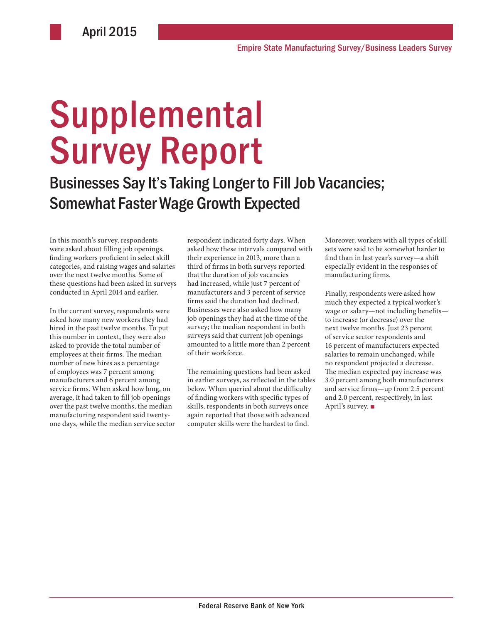# **Supplemental** Survey Report

Businesses Say It's Taking Longer to Fill Job Vacancies; Somewhat Faster Wage Growth Expected

In this month's survey, respondents were asked about filling job openings, finding workers proficient in select skill categories, and raising wages and salaries over the next twelve months. Some of these questions had been asked in surveys conducted in April 2014 and earlier.

In the current survey, respondents were asked how many new workers they had hired in the past twelve months. To put this number in context, they were also asked to provide the total number of employees at their firms. The median number of new hires as a percentage of employees was 7 percent among manufacturers and 6 percent among service firms. When asked how long, on average, it had taken to fill job openings over the past twelve months, the median manufacturing respondent said twentyone days, while the median service sector respondent indicated forty days. When asked how these intervals compared with their experience in 2013, more than a third of firms in both surveys reported that the duration of job vacancies had increased, while just 7 percent of manufacturers and 3 percent of service firms said the duration had declined. Businesses were also asked how many job openings they had at the time of the survey; the median respondent in both surveys said that current job openings amounted to a little more than 2 percent of their workforce.

The remaining questions had been asked in earlier surveys, as reflected in the tables below. When queried about the difficulty of finding workers with specific types of skills, respondents in both surveys once again reported that those with advanced computer skills were the hardest to find.

Moreover, workers with all types of skill sets were said to be somewhat harder to find than in last year's survey—a shift especially evident in the responses of manufacturing firms.

Finally, respondents were asked how much they expected a typical worker's wage or salary—not including benefits to increase (or decrease) over the next twelve months. Just 23 percent of service sector respondents and 16 percent of manufacturers expected salaries to remain unchanged, while no respondent projected a decrease. The median expected pay increase was 3.0 percent among both manufacturers and service firms—up from 2.5 percent and 2.0 percent, respectively, in last April's survey. ■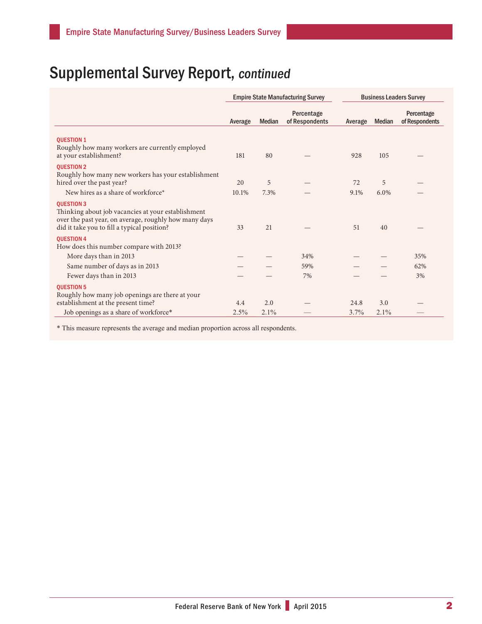|                                                                                                                                                                                 | <b>Empire State Manufacturing Survey</b> |               |                              | <b>Business Leaders Survey</b> |         |                              |  |
|---------------------------------------------------------------------------------------------------------------------------------------------------------------------------------|------------------------------------------|---------------|------------------------------|--------------------------------|---------|------------------------------|--|
|                                                                                                                                                                                 | Average                                  | <b>Median</b> | Percentage<br>of Respondents | Average                        | Median  | Percentage<br>of Respondents |  |
| <b>OUESTION 1</b>                                                                                                                                                               |                                          |               |                              |                                |         |                              |  |
| Roughly how many workers are currently employed<br>at your establishment?                                                                                                       | 181                                      | 80            |                              | 928                            | 105     |                              |  |
| <b>OUESTION 2</b><br>Roughly how many new workers has your establishment                                                                                                        | 20                                       |               |                              | 72                             | 5       |                              |  |
| hired over the past year?<br>New hires as a share of workforce*                                                                                                                 | 10.1%                                    | 5<br>7.3%     |                              | 9.1%                           | $6.0\%$ |                              |  |
|                                                                                                                                                                                 |                                          |               |                              |                                |         |                              |  |
| <b>QUESTION 3</b><br>Thinking about job vacancies at your establishment<br>over the past year, on average, roughly how many days<br>did it take you to fill a typical position? | 33                                       | 21            |                              | 51                             | 40      |                              |  |
| <b>QUESTION 4</b>                                                                                                                                                               |                                          |               |                              |                                |         |                              |  |
| How does this number compare with 2013?                                                                                                                                         |                                          |               |                              |                                |         |                              |  |
| More days than in 2013                                                                                                                                                          |                                          |               | 34%                          |                                |         | 35%                          |  |
| Same number of days as in 2013                                                                                                                                                  |                                          |               | 59%                          |                                |         | 62%                          |  |
| Fewer days than in 2013                                                                                                                                                         |                                          |               | 7%                           |                                |         | 3%                           |  |
| <b>OUESTION 5</b>                                                                                                                                                               |                                          |               |                              |                                |         |                              |  |
| Roughly how many job openings are there at your                                                                                                                                 |                                          |               |                              |                                |         |                              |  |
| establishment at the present time?                                                                                                                                              | 4.4                                      | 2.0           |                              | 24.8                           | 3.0     |                              |  |
| Job openings as a share of workforce*                                                                                                                                           | 2.5%                                     | 2.1%          |                              | 3.7%                           | 2.1%    |                              |  |

\* This measure represents the average and median proportion across all respondents.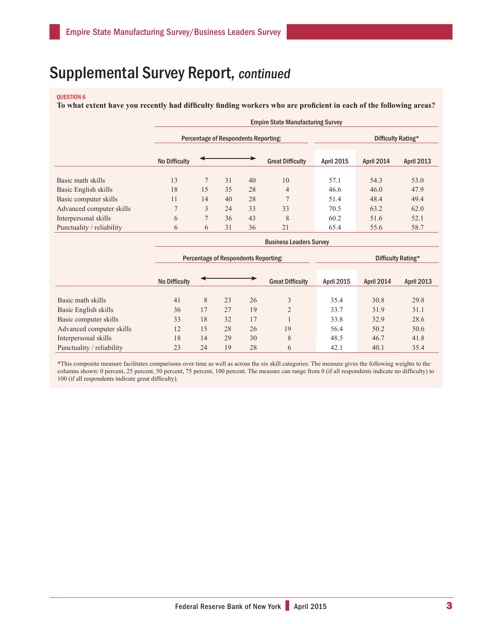#### QUESTION 6

**To what extent have you recently had difficulty finding workers who are proficient in each of the following areas?**

|                           | <b>Empire State Manufacturing Survey</b> |                                             |                                      |    |                         |                   |            |                    |  |  |
|---------------------------|------------------------------------------|---------------------------------------------|--------------------------------------|----|-------------------------|-------------------|------------|--------------------|--|--|
|                           |                                          |                                             | Percentage of Respondents Reporting: |    | Difficulty Rating*      |                   |            |                    |  |  |
|                           | <b>No Difficulty</b>                     |                                             |                                      |    | <b>Great Difficulty</b> | <b>April 2015</b> | April 2014 | <b>April 2013</b>  |  |  |
| Basic math skills         | 13                                       | 7                                           | 31                                   | 40 | 10                      | 57.1              | 54.3       | 53.0               |  |  |
| Basic English skills      | 18                                       | 15                                          | 35                                   | 28 | 4                       | 46.6              | 46.0       | 47.9               |  |  |
| Basic computer skills     | 11                                       | 14                                          | 40                                   | 28 | $\overline{7}$          | 51.4              | 48.4       | 49.4               |  |  |
| Advanced computer skills  | $\overline{7}$                           | 3                                           | 24                                   | 33 | 33                      | 70.5              | 63.2       | 62.0               |  |  |
| Interpersonal skills      | 6                                        | 7                                           | 36                                   | 43 | 8                       | 60.2              | 51.6       | 52.1               |  |  |
| Punctuality / reliability | 6                                        | 6                                           | 31                                   | 36 | 21                      | 65.4              | 55.6       | 58.7               |  |  |
|                           | <b>Business Leaders Survey</b>           |                                             |                                      |    |                         |                   |            |                    |  |  |
|                           |                                          | <b>Percentage of Respondents Reporting:</b> |                                      |    |                         |                   |            | Difficulty Rating* |  |  |

|                           | <b>No Difficulty</b> |                |    |    | <b>Great Difficulty</b> | <b>April 2015</b> | April 2014 | <b>April 2013</b> |  |
|---------------------------|----------------------|----------------|----|----|-------------------------|-------------------|------------|-------------------|--|
|                           |                      |                |    |    |                         |                   |            |                   |  |
| Basic math skills         | 41                   | 8              | 23 | 26 | 3                       | 35.4              | 30.8       | 29.8              |  |
| Basic English skills      | 36                   | $\overline{7}$ | 27 | 19 | $\mathcal{D}$           | 33.7              | 31.9       | 31.1              |  |
| Basic computer skills     | 33                   | 18             | 32 | 17 |                         | 33.8              | 32.9       | 28.6              |  |
| Advanced computer skills  | 12                   | 15             | 28 | 26 | 19                      | 56.4              | 50.2       | 50.6              |  |
| Interpersonal skills      | 18                   | 14             | 29 | 30 | 8                       | 48.5              | 46.7       | 41.8              |  |
| Punctuality / reliability | 23                   | 24             | 19 | 28 | 6                       | 42.1              | 40.1       | 35.4              |  |

\*This composite measure facilitates comparisons over time as well as across the six skill categories. The measure gives the following weights to the columns shown: 0 percent, 25 percent, 50 percent, 75 percent, 100 percent. The measure can range from 0 (if all respondents indicate no difficulty) to 100 (if all respondents indicate great difficulty).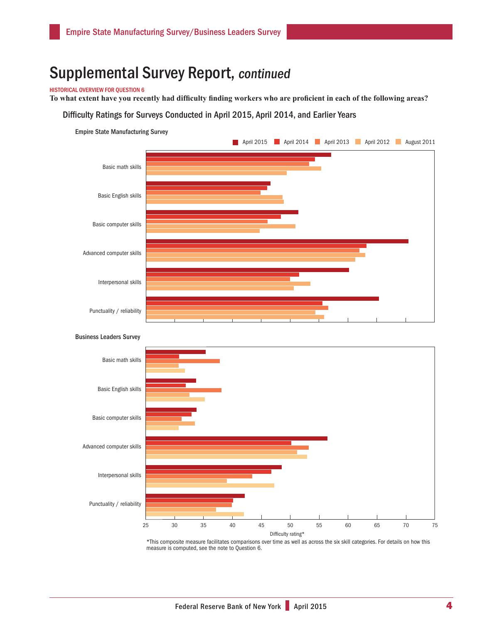#### HISTORICAL OVERVIEW FOR QUESTION 6

**To what extent have you recently had difficulty finding workers who are proficient in each of the following areas?** 

#### Difficulty Ratings for Surveys Conducted in April 2015, April 2014, and Earlier Years





Business Leaders Survey

\*This composite measure facilitates comparisons over time as well as across the six skill categories. For details on how this measure is computed, see the note to Question 6.